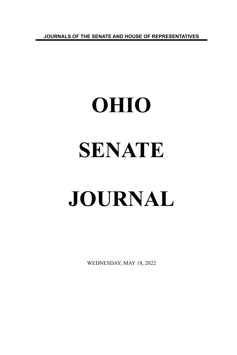**JOURNALS OF THE SENATE AND HOUSE OF REPRESENTATIVES**

# **OHIO SENATE JOURNAL**

WEDNESDAY, MAY 18, 2022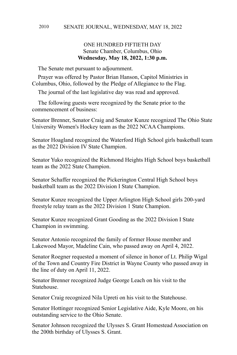# ONE HUNDRED FIFTIETH DAY Senate Chamber, Columbus, Ohio **Wednesday, May 18, 2022, 1:30 p.m.**

The Senate met pursuant to adjournment.

Prayer was offered by Pastor Brian Hanson, Capitol Ministries in Columbus, Ohio, followed by the Pledge of Allegiance to the Flag.

The journal of the last legislative day was read and approved.

The following guests were recognized by the Senate prior to the commencement of business:

Senator Brenner, Senator Craig and Senator Kunze recognized The Ohio State University Women's Hockey team as the 2022 NCAA Champions.

Senator Hoagland recognized the Waterford High School girls basketball team as the 2022 Division IV State Champion.

Senator Yuko recognized the Richmond Heights High School boys basketball team as the 2022 State Champion.

Senator Schaffer recognized the Pickerington Central High School boys basketball team as the 2022 Division I State Champion.

Senator Kunze recognized the Upper Arlington High School girls 200-yard freestyle relay team as the 2022 Division 1 State Champion.

Senator Kunze recognized Grant Gooding as the 2022 Division I State Champion in swimming.

Senator Antonio recognized the family of former House member and Lakewood Mayor, Madeline Cain, who passed away on April 4, 2022.

Senator Roegner requested a moment of silence in honor of Lt. Philip Wigal of the Town and Country Fire District in Wayne County who passed away in the line of duty on April 11, 2022.

Senator Brenner recognized Judge George Leach on his visit to the **Statehouse** 

Senator Craig recognized Nila Upreti on his visit to the Statehouse.

Senator Hottinger recognized Senior Legislative Aide, Kyle Moore, on his outstanding service to the Ohio Senate.

Senator Johnson recognized the Ulysses S. Grant Homestead Association on the 200th birthday of Ulysses S. Grant.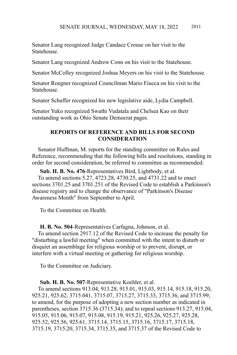Senator Lang recognized Judge Candace Crouse on her visit to the **Statehouse** 

Senator Lang recognized Andrew Conn on his visit to the Statehouse.

Senator McColley recognized Joshua Meyers on his visit to the Statehouse.

Senator Roegner recognized Councilman Mario Fiucca on his visit to the **Statehouse** 

Senator Schaffer recognized his new legislative aide, Lydia Campbell.

Senator Yuko recognized Swathi Vudatala and Chelsea Kao on their outstanding work as Ohio Senate Democrat pages.

### **REPORTS OF REFERENCE AND BILLS FOR SECOND CONSIDERATION**

Senator Huffman, M. reports for the standing committee on Rules and Reference, recommending that the following bills and resolutions, standing in order for second consideration, be referred to committee as recommended:

**Sub. H. B. No. 476**-Representatives Bird, Lightbody, et al.

To amend sections 5.27, 4723.28, 4730.25, and 4731.22 and to enact sections 3701.25 and 3701.251 of the Revised Code to establish a Parkinson's disease registry and to change the observance of "Parkinson's Disease Awareness Month" from September to April.

To the Committee on Health.

**H. B. No. 504**-Representatives Carfagna, Johnson, et al.

To amend section 2917.12 of the Revised Code to increase the penalty for "disturbing a lawful meeting" when committed with the intent to disturb or disquiet an assemblage for religious worship or to prevent, disrupt, or interfere with a virtual meeting or gathering for religious worship.

To the Committee on Judiciary.

### **Sub. H. B. No. 507**-Representative Koehler, et al.

To amend sections 913.04, 913.28, 915.01, 915.03, 915.14, 915.18, 915.20, 925.21, 925.62, 3715.041, 3715.07, 3715.27, 3715.33, 3715.36, and 3715.99; to amend, for the purpose of adopting a new section number as indicated in parentheses, section 3715.36 (3715.34); and to repeal sections 913.27, 915.04, 915.05, 915.06, 915.07, 915.08, 915.19, 915.21, 925.26, 925.27, 925.28, 925.52, 925.56, 925.61, 3715.14, 3715.15, 3715.16, 3715.17, 3715.18, 3715.19, 3715.20, 3715.34, 3715.35, and 3715.37 of the Revised Code to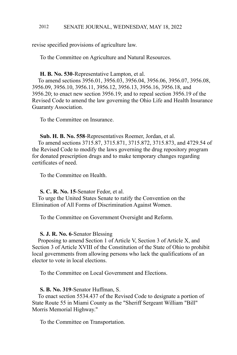revise specified provisions of agriculture law.

To the Committee on Agriculture and Natural Resources.

### **H. B. No. 530**-Representative Lampton, et al.

To amend sections 3956.01, 3956.03, 3956.04, 3956.06, 3956.07, 3956.08, 3956.09, 3956.10, 3956.11, 3956.12, 3956.13, 3956.16, 3956.18, and 3956.20; to enact new section 3956.19; and to repeal section 3956.19 of the Revised Code to amend the law governing the Ohio Life and Health Insurance Guaranty Association.

To the Committee on Insurance.

# **Sub. H. B. No. 558**-Representatives Roemer, Jordan, et al.

To amend sections 3715.87, 3715.871, 3715.872, 3715.873, and 4729.54 of the Revised Code to modify the laws governing the drug repository program for donated prescription drugs and to make temporary changes regarding certificates of need.

To the Committee on Health.

### **S. C. R. No. 15**-Senator Fedor, et al.

To urge the United States Senate to ratify the Convention on the Elimination of All Forms of Discrimination Against Women.

To the Committee on Government Oversight and Reform.

### **S. J. R. No. 6**-Senator Blessing

Proposing to amend Section 1 of Article V, Section 3 of Article X, and Section 3 of Article XVIII of the Constitution of the State of Ohio to prohibit local governments from allowing persons who lack the qualifications of an elector to vote in local elections.

To the Committee on Local Government and Elections.

### **S. B. No. 319**-Senator Huffman, S.

To enact section 5534.437 of the Revised Code to designate a portion of State Route 55 in Miami County as the "Sheriff Sergeant William "Bill" Morris Memorial Highway."

To the Committee on Transportation.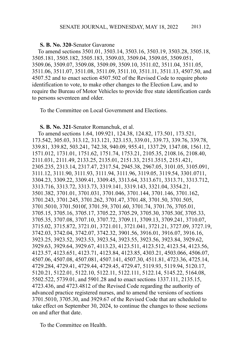### **S. B. No. 320**-Senator Gavarone

To amend sections 3501.01, 3503.14, 3503.16, 3503.19, 3503.28, 3505.18, 3505.181, 3505.182, 3505.183, 3509.03, 3509.04, 3509.05, 3509.051, 3509.06, 3509.07, 3509.08, 3509.09, 3509.10, 3511.02, 3511.04, 3511.05, 3511.06, 3511.07, 3511.08, 3511.09, 3511.10, 3511.11, 3511.13, 4507.50, and 4507.52 and to enact section 4507.502 of the Revised Code to require photo identification to vote, to make other changes to the Election Law, and to require the Bureau of Motor Vehicles to provide free state identification cards to persons seventeen and older.

To the Committee on Local Government and Elections.

### **S. B. No. 321**-Senator Romanchuk, et al.

To amend sections 1.64, 109.921, 124.38, 124.82, 173.501, 173.521, 173.542, 305.03, 313.12, 313.121, 323.153, 339.01, 339.73, 339.76, 339.78, 339.81, 339.82, 503.241, 742.38, 940.09, 955.41, 1337.29, 1347.08, 1561.12, 1571.012, 1731.01, 1751.62, 1751.74, 1753.21, 2105.35, 2108.16, 2108.40, 2111.031, 2111.49, 2133.25, 2135.01, 2151.33, 2151.3515, 2151.421, 2305.235, 2313.14, 2317.47, 2317.54, 2945.38, 2967.05, 3101.05, 3105.091, 3111.12, 3111.90, 3111.93, 3111.94, 3111.96, 3119.05, 3119.54, 3301.0711, 3304.23, 3309.22, 3309.41, 3309.45, 3313.64, 3313.671, 3313.71, 3313.712, 3313.716, 3313.72, 3313.73, 3319.141, 3319.143, 3321.04, 3354.21, 3501.382, 3701.01, 3701.031, 3701.046, 3701.144, 3701.146, 3701.162, 3701.243, 3701.245, 3701.262, 3701.47, 3701.48, 3701.50, 3701.505, 3701.5010, 3701.5010f, 3701.59, 3701.60, 3701.74, 3701.76, 3705.01, 3705.15, 3705.16, 3705.17, 3705.22, 3705.29, 3705.30, 3705.30f, 3705.33, 3705.35, 3707.08, 3707.10, 3707.72, 3709.11, 3709.13, 3709.241, 3710.07, 3715.02, 3715.872, 3721.01, 3721.011, 3721.041, 3721.21, 3727.09, 3727.19, 3742.03, 3742.04, 3742.07, 3742.32, 3901.56, 3916.01, 3916.07, 3916.16, 3923.25, 3923.52, 3923.53, 3923.54, 3923.55, 3923.56, 3923.84, 3929.62, 3929.63, 3929.64, 3929.67, 4113.23, 4123.511, 4123.512, 4123.54, 4123.56, 4123.57, 4123.651, 4123.71, 4123.84, 4123.85, 4303.21, 4503.066, 4506.07, 4507.06, 4507.08, 4507.081, 4507.141, 4507.30, 4511.81, 4723.36, 4725.14, 4729.284, 4729.41, 4729.44, 4729.45, 4729.47, 5119.93, 5119.94, 5120.17, 5120.21, 5122.01, 5122.10, 5122.11, 5122.111, 5122.14, 5145.22, 5164.08, 5502.522, 5739.01, and 5901.28 and to enact sections 1337.111, 2135.15, 4723.436, and 4723.4812 of the Revised Code regarding the authority of advanced practice registered nurses, and to amend the versions of sections 3701.5010, 3705.30, and 3929.67 of the Revised Code that are scheduled to take effect on September 30, 2024, to continue the changes to those sections on and after that date.

To the Committee on Health.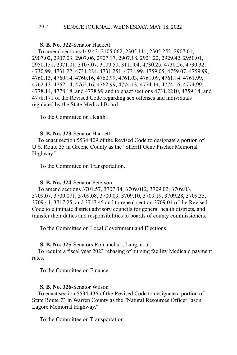# **S. B. No. 322**-Senator Hackett

To amend sections 149.43, 2105.062, 2305.111, 2305.252, 2907.01, 2907.02, 2907.03, 2907.06, 2907.17, 2907.18, 2921.22, 2929.42, 2950.01, 2950.151, 2971.01, 3107.07, 3109.50, 3111.04, 4730.25, 4730.26, 4730.32, 4730.99, 4731.22, 4731.224, 4731.251, 4731.99, 4759.05, 4759.07, 4759.99, 4760.13, 4760.14, 4760.16, 4760.99, 4761.03, 4761.09, 4761.14, 4761.99, 4762.13, 4762.14, 4762.16, 4762.99, 4774.13, 4774.14, 4774.16, 4774.99, 4778.14, 4778.18, and 4778.99 and to enact sections 4731.2210, 4759.14, and 4778.171 of the Revised Code regarding sex offenses and individuals regulated by the State Medical Board.

To the Committee on Health.

### **S. B. No. 323**-Senator Hackett

To enact section 5534.409 of the Revised Code to designate a portion of U.S. Route 35 in Greene County as the "Sheriff Gene Fischer Memorial Highway."

To the Committee on Transportation.

### **S. B. No. 324**-Senator Peterson

To amend sections 3701.57, 3707.34, 3709.012, 3709.02, 3709.03, 3709.07, 3709.071, 3709.08, 3709.09, 3709.10, 3709.19, 3709.28, 3709.35, 3709.41, 3717.25, and 3717.45 and to repeal section 3709.04 of the Revised Code to eliminate district advisory councils for general health districts, and transfer their duties and responsibilities to boards of county commissioners.

To the Committee on Local Government and Elections.

### **S. B. No. 325**-Senators Romanchuk, Lang, et al.

To require a fiscal year 2023 rebasing of nursing facility Medicaid payment rates.

To the Committee on Finance.

# **S. B. No. 326**-Senator Wilson

To enact section 5534.436 of the Revised Code to designate a portion of State Route 73 in Warren County as the "Natural Resources Officer Jason Lagore Memorial Highway."

To the Committee on Transportation.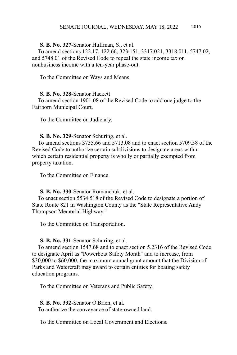### **S. B. No. 327**-Senator Huffman, S., et al.

To amend sections 122.17, 122.66, 323.151, 3317.021, 3318.011, 5747.02, and 5748.01 of the Revised Code to repeal the state income tax on nonbusiness income with a ten-year phase-out.

To the Committee on Ways and Means.

### **S. B. No. 328**-Senator Hackett

To amend section 1901.08 of the Revised Code to add one judge to the Fairborn Municipal Court.

To the Committee on Judiciary.

### **S. B. No. 329**-Senator Schuring, et al.

To amend sections 3735.66 and 5713.08 and to enact section 5709.58 of the Revised Code to authorize certain subdivisions to designate areas within which certain residential property is wholly or partially exempted from property taxation.

To the Committee on Finance.

### **S. B. No. 330**-Senator Romanchuk, et al.

To enact section 5534.518 of the Revised Code to designate a portion of State Route 821 in Washington County as the "State Representative Andy Thompson Memorial Highway."

To the Committee on Transportation.

### **S. B. No. 331**-Senator Schuring, et al.

To amend section 1547.68 and to enact section 5.2316 of the Revised Code to designate April as "Powerboat Safety Month" and to increase, from \$30,000 to \$60,000, the maximum annual grant amount that the Division of Parks and Watercraft may award to certain entities for boating safety education programs.

To the Committee on Veterans and Public Safety.

**S. B. No. 332**-Senator O'Brien, et al.

To authorize the conveyance of state-owned land.

To the Committee on Local Government and Elections.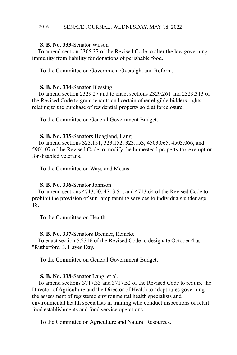### **S. B. No. 333**-Senator Wilson

To amend section 2305.37 of the Revised Code to alter the law governing immunity from liability for donations of perishable food.

To the Committee on Government Oversight and Reform.

### **S. B. No. 334**-Senator Blessing

To amend section 2329.27 and to enact sections 2329.261 and 2329.313 of the Revised Code to grant tenants and certain other eligible bidders rights relating to the purchase of residential property sold at foreclosure.

To the Committee on General Government Budget.

### **S. B. No. 335**-Senators Hoagland, Lang

To amend sections 323.151, 323.152, 323.153, 4503.065, 4503.066, and 5901.07 of the Revised Code to modify the homestead property tax exemption for disabled veterans.

To the Committee on Ways and Means.

### **S. B. No. 336**-Senator Johnson

To amend sections 4713.50, 4713.51, and 4713.64 of the Revised Code to prohibit the provision of sun lamp tanning services to individuals under age 18.

To the Committee on Health.

### **S. B. No. 337**-Senators Brenner, Reineke

To enact section 5.2316 of the Revised Code to designate October 4 as "Rutherford B. Hayes Day."

To the Committee on General Government Budget.

### **S. B. No. 338**-Senator Lang, et al.

To amend sections 3717.33 and 3717.52 of the Revised Code to require the Director of Agriculture and the Director of Health to adopt rules governing the assessment of registered environmental health specialists and environmental health specialists in training who conduct inspections of retail food establishments and food service operations.

To the Committee on Agriculture and Natural Resources.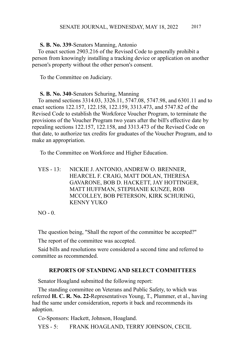### **S. B. No. 339**-Senators Manning, Antonio

To enact section 2903.216 of the Revised Code to generally prohibit a person from knowingly installing a tracking device or application on another person's property without the other person's consent.

To the Committee on Judiciary.

### **S. B. No. 340**-Senators Schuring, Manning

To amend sections 3314.03, 3326.11, 5747.08, 5747.98, and 6301.11 and to enact sections 122.157, 122.158, 122.159, 3313.473, and 5747.82 of the Revised Code to establish the Workforce Voucher Program, to terminate the provisions of the Voucher Program two years after the bill's effective date by repealing sections 122.157, 122.158, and 3313.473 of the Revised Code on that date, to authorize tax credits for graduates of the Voucher Program, and to make an appropriation.

To the Committee on Workforce and Higher Education.

YES - 13: NICKIE J. ANTONIO, ANDREW O. BRENNER, HEARCEL F. CRAIG, MATT DOLAN, THERESA GAVARONE, BOB D. HACKETT, JAY HOTTINGER, MATT HUFFMAN, STEPHANIE KUNZE, ROB MCCOLLEY, BOB PETERSON, KIRK SCHURING, KENNY YUKO

 $NO - 0.$ 

The question being, "Shall the report of the committee be accepted?"

The report of the committee was accepted.

Said bills and resolutions were considered a second time and referred to committee as recommended.

### **REPORTS OF STANDING AND SELECT COMMITTEES**

Senator Hoagland submitted the following report:

The standing committee on Veterans and Public Safety, to which was referred **H. C. R. No. 22-**Representatives Young, T., Plummer, et al., having had the same under consideration, reports it back and recommends its adoption.

Co-Sponsors: Hackett, Johnson, Hoagland.

YES - 5: FRANK HOAGLAND, TERRY JOHNSON, CECIL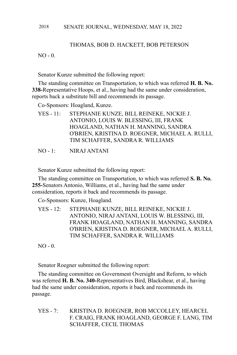## THOMAS, BOB D. HACKETT, BOB PETERSON

 $NO - 0.$ 

Senator Kunze submitted the following report:

The standing committee on Transportation, to which was referred **H. B. No. 338-**Representative Hoops, et al., having had the same under consideration, reports back a substitute bill and recommends its passage.

Co-Sponsors: Hoagland, Kunze.

- YES 11: STEPHANIE KUNZE, BILL REINEKE, NICKIE J. ANTONIO, LOUIS W. BLESSING, III, FRANK HOAGLAND, NATHAN H. MANNING, SANDRA O'BRIEN, KRISTINA D. ROEGNER, MICHAEL A. RULLI, TIM SCHAFFER, SANDRA R. WILLIAMS
- NO 1: NIRAJ ANTANI

Senator Kunze submitted the following report:

The standing committee on Transportation, to which was referred **S. B. No. 255-**Senators Antonio, Williams, et al., having had the same under consideration, reports it back and recommends its passage.

Co-Sponsors: Kunze, Hoagland.

YES - 12: STEPHANIE KUNZE, BILL REINEKE, NICKIE J. ANTONIO, NIRAJ ANTANI, LOUIS W. BLESSING, III, FRANK HOAGLAND, NATHAN H. MANNING, SANDRA O'BRIEN, KRISTINA D. ROEGNER, MICHAEL A. RULLI, TIM SCHAFFER, SANDRA R. WILLIAMS

NO - 0.

Senator Roegner submitted the following report:

The standing committee on Government Oversight and Reform, to which was referred **H. B. No. 340-**Representatives Bird, Blackshear, et al., having had the same under consideration, reports it back and recommends its passage.

YES - 7: KRISTINA D. ROEGNER, ROB MCCOLLEY, HEARCEL F. CRAIG, FRANK HOAGLAND, GEORGE F. LANG, TIM SCHAFFER, CECIL THOMAS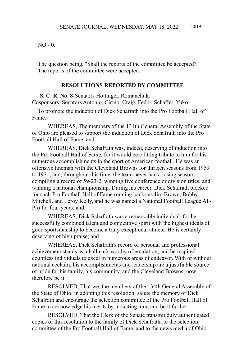$NO - 0.$ 

The question being, "Shall the reports of the committee be accepted?" The reports of the committee were accepted.

### **RESOLUTIONS REPORTED BY COMMITTEE**

**S. C. R. No. 8**-Senators Hottinger, Romanchuk. Cosponsors: Senators Antonio, Cirino, Craig, Fedor, Schaffer, Yuko.

To promote the induction of Dick Schafrath into the Pro Football Hall of Fame.

WHEREAS, The members of the 134th General Assembly of the State of Ohio are pleased to support the induction of Dick Schafrath into the Pro Football Hall of Fame; and

WHEREAS, Dick Schafrath was, indeed, deserving of induction into the Pro Football Hall of Fame, for it would be a fitting tribute to him for his numerous accomplishments in the sport of American football. He was an offensive lineman with the Cleveland Browns for thirteen seasons from 1959 to 1971, and, throughout this time, the team never had a losing season, compiling a record of 59-23-2, winning five conference or division titles, and winning a national championship. During his career, Dick Schafrath blocked for such Pro Football Hall of Fame running backs as Jim Brown, Bobby Mitchell, and Leroy Kelly, and he was named a National Football League All-Pro for four years; and

WHEREAS, Dick Schafrath was a remarkable individual, for he successfully combined talent and competitive spirit with the highest ideals of good sportsmanship to become a truly exceptional athlete. He is certainly deserving of high praise; and

WHEREAS, Dick Schafrath's record of personal and professional achievement stands as a hallmark worthy of emulation, and he inspired countless individuals to excel in numerous areas of endeavor. With or without national acclaim, his accomplishments and leadership are a justifiable source of pride for his family, his community, and the Cleveland Browns; now therefore be it

RESOLVED, That we, the members of the 134th General Assembly of the State of Ohio, in adopting this resolution, salute the memory of Dick Schafrath and encourage the selection committee of the Pro Football Hall of Fame to acknowledge his merits by inducting him; and be it further

RESOLVED, That the Clerk of the Senate transmit duly authenticated copies of this resolution to the family of Dick Schafrath, to the selection committee of the Pro Football Hall of Fame, and to the news media of Ohio.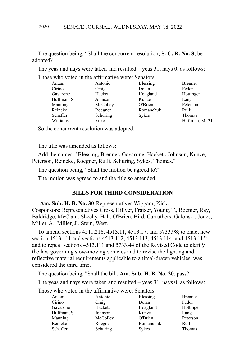The question being, "Shall the concurrent resolution, **S. C. R. No. 8**, be adopted?

The yeas and nays were taken and resulted – yeas 31, nays 0, as follows:

Those who voted in the affirmative were: Senators

| Antani      | Antonio  | <b>Blessing</b> | <b>Brenner</b> |
|-------------|----------|-----------------|----------------|
| Cirino      | Craig    | Dolan           | Fedor          |
| Gavarone    | Hackett  | Hoagland        | Hottinger      |
| Huffman, S. | Johnson  | Kunze           | Lang           |
| Manning     | McColley | O'Brien         | Peterson       |
| Reineke     | Roegner  | Romanchuk       | Rulli          |
| Schaffer    | Schuring | Sykes           | Thomas         |
| Williams    | Yuko     |                 | Huffman, M.-31 |

So the concurrent resolution was adopted.

The title was amended as follows:

Add the names: "Blessing, Brenner, Gavarone, Hackett, Johnson, Kunze, Peterson, Reineke, Roegner, Rulli, Schuring, Sykes, Thomas."

The question being, "Shall the motion be agreed to?"

The motion was agreed to and the title so amended.

### **BILLS FOR THIRD CONSIDERATION**

**Am. Sub. H. B. No. 30**-Representatives Wiggam, Kick. Cosponsors: Representatives Cross, Hillyer, Fraizer, Young, T., Roemer, Ray,

Baldridge, McClain, Sheehy, Hall, O'Brien, Bird, Carruthers, Galonski, Jones, Miller, A., Miller, J., Stein, West.

To amend sections 4511.216, 4513.11, 4513.17, and 5733.98; to enact new section 4513.111 and sections 4513.112, 4513.113, 4513.114, and 4513.115; and to repeal sections 4513.111 and 5733.44 of the Revised Code to clarify the law governing slow-moving vehicles and to revise the lighting and reflective material requirements applicable to animal-drawn vehicles, was considered the third time.

The question being, "Shall the bill, **Am. Sub. H. B. No. 30**, pass?"

The yeas and nays were taken and resulted – yeas 31, nays 0, as follows:

Those who voted in the affirmative were: Senators

| Antani      | Antonio  | Blessing  | <b>Brenner</b> |
|-------------|----------|-----------|----------------|
| Cirino      | Craig    | Dolan     | Fedor          |
| Gavarone    | Hackett  | Hoagland  | Hottinger      |
| Huffman, S. | Johnson  | Kunze     | Lang           |
| Manning     | McColley | O'Brien   | Peterson       |
| Reineke     | Roegner  | Romanchuk | Rulli          |
| Schaffer    | Schuring | Sykes     | Thomas         |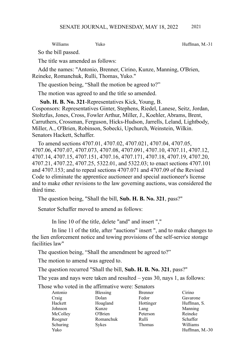Williams Yuko Huffman, M.-31

So the bill passed.

The title was amended as follows:

Add the names: "Antonio, Brenner, Cirino, Kunze, Manning, O'Brien, Reineke, Romanchuk, Rulli, Thomas, Yuko."

The question being, "Shall the motion be agreed to?"

The motion was agreed to and the title so amended.

**Sub. H. B. No. 321**-Representatives Kick, Young, B. Cosponsors: Representatives Ginter, Stephens, Riedel, Lanese, Seitz, Jordan, Stoltzfus, Jones, Cross, Fowler Arthur, Miller, J., Koehler, Abrams, Brent, Carruthers, Crossman, Ferguson, Hicks-Hudson, Jarrells, Leland, Lightbody, Miller, A., O'Brien, Robinson, Sobecki, Upchurch, Weinstein, Wilkin. Senators Hackett, Schaffer.

To amend sections 4707.01, 4707.02, 4707.021, 4707.04, 4707.05, 4707.06, 4707.07, 4707.073, 4707.08, 4707.091, 4707.10, 4707.11, 4707.12, 4707.14, 4707.15, 4707.151, 4707.16, 4707.171, 4707.18, 4707.19, 4707.20, 4707.21, 4707.22, 4707.25, 5322.01, and 5322.03; to enact sections 4707.101 and 4707.153; and to repeal sections 4707.071 and 4707.09 of the Revised Code to eliminate the apprentice auctioneer and special auctioneer's license and to make other revisions to the law governing auctions, was considered the third time.

The question being, "Shall the bill, **Sub. H. B. No. 321**, pass?"

Senator Schaffer moved to amend as follows:

In line 10 of the title, delete "and" and insert ","

In line 11 of the title, after "auctions" insert ", and to make changes to the lien enforcement notice and towing provisions of the self-service storage facilities law"

The question being, "Shall the amendment be agreed to?"

The motion to amend was agreed to.

The question recurred "Shall the bill, **Sub. H. B. No. 321**, pass?"

The yeas and nays were taken and resulted – yeas 30, nays 1, as follows:

Those who voted in the affirmative were: Senators

| Antonio  | <b>Blessing</b> | <b>Brenner</b> | Cirino         |
|----------|-----------------|----------------|----------------|
| Craig    | Dolan           | Fedor          | Gavarone       |
| Hackett  | Hoagland        | Hottinger      | Huffman, S.    |
| Johnson  | Kunze           | Lang           | Manning        |
| McColley | O'Brien         | Peterson       | Reineke        |
| Roegner  | Romanchuk       | Rulli          | Schaffer       |
| Schuring | Sykes           | Thomas         | Williams       |
| Yuko     |                 |                | Huffman. M.-30 |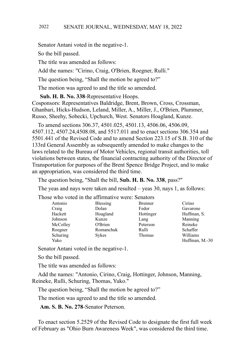Senator Antani voted in the negative-1.

So the bill passed.

The title was amended as follows:

Add the names: "Cirino, Craig, O'Brien, Roegner, Rulli."

The question being, "Shall the motion be agreed to?"

The motion was agreed to and the title so amended.

**Sub. H. B. No. 338**-Representative Hoops.

Cosponsors: Representatives Baldridge, Brent, Brown, Cross, Crossman, Ghanbari, Hicks-Hudson, Leland, Miller, A., Miller, J., O'Brien, Plummer, Russo, Sheehy, Sobecki, Upchurch, West. Senators Hoagland, Kunze.

To amend sections 306.37, 4501.025, 4501.13, 4506.06, 4506.09, 4507.112, 4507.24,4508.08, and 5517.011 and to enact sections 306.354 and 5501.441 of the Revised Code and to amend Section 223.15 of S.B. 310 of the 133rd General Assembly as subsequently amended to make changes to the laws related to the Bureau of Motor Vehicles, regional transit authorities, toll violations between states, the financial contracting authority of the Director of Transportation for purposes of the Brent Spence Bridge Project, and to make an appropriation, was considered the third time.

The question being, "Shall the bill, **Sub. H. B. No. 338**, pass?"

The yeas and nays were taken and resulted – yeas 30, nays 1, as follows:

Those who voted in the affirmative were: Senators

| Antonio  | <b>Blessing</b> | <b>Brenner</b> | Cirino         |
|----------|-----------------|----------------|----------------|
| Craig    | Dolan           | Fedor          | Gavarone       |
| Hackett  | Hoagland        | Hottinger      | Huffman, S.    |
| Johnson  | Kunze           | Lang           | Manning        |
| McColley | O'Brien         | Peterson       | Reineke        |
| Roegner  | Romanchuk       | Rulli          | Schaffer       |
| Schuring | Sykes           | Thomas         | Williams       |
| Yuko     |                 |                | Huffman, M.-30 |

Senator Antani voted in the negative-1.

So the bill passed.

The title was amended as follows:

Add the names: "Antonio, Cirino, Craig, Hottinger, Johnson, Manning, Reineke, Rulli, Schuring, Thomas, Yuko."

The question being, "Shall the motion be agreed to?"

The motion was agreed to and the title so amended.

**Am. S. B. No. 278**-Senator Peterson.

To enact section 5.2529 of the Revised Code to designate the first full week of February as "Ohio Burn Awareness Week", was considered the third time.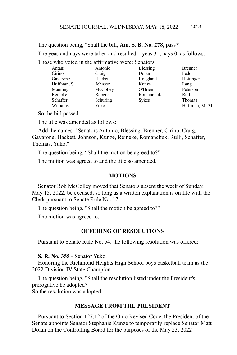The question being, "Shall the bill, **Am. S. B. No. 278**, pass?" The yeas and nays were taken and resulted – yeas 31, nays 0, as follows:

Those who voted in the affirmative were: Senators

| Antani      | Antonio  | <b>Blessing</b> | <b>Brenner</b> |
|-------------|----------|-----------------|----------------|
| Cirino      | Craig    | Dolan           | Fedor          |
| Gavarone    | Hackett  | Hoagland        | Hottinger      |
| Huffman, S. | Johnson  | Kunze           | Lang           |
| Manning     | McColley | O'Brien         | Peterson       |
| Reineke     | Roegner  | Romanchuk       | Rulli          |
| Schaffer    | Schuring | Sykes           | Thomas         |
| Williams    | Yuko     |                 | Huffman, M.-31 |

So the bill passed.

The title was amended as follows:

Add the names: "Senators Antonio, Blessing, Brenner, Cirino, Craig, Gavarone, Hackett, Johnson, Kunze, Reineke, Romanchuk, Rulli, Schaffer, Thomas, Yuko."

The question being, "Shall the motion be agreed to?"

The motion was agreed to and the title so amended.

### **MOTIONS**

Senator Rob McColley moved that Senators absent the week of Sunday, May 15, 2022, be excused, so long as a written explanation is on file with the Clerk pursuant to Senate Rule No. 17.

The question being, "Shall the motion be agreed to?"

The motion was agreed to.

### **OFFERING OF RESOLUTIONS**

Pursuant to Senate Rule No. 54, the following resolution was offered:

**S. R. No. 355** - Senator Yuko.

Honoring the Richmond Heights High School boys basketball team as the 2022 Division IV State Champion.

The question being, "Shall the resolution listed under the President's prerogative be adopted?"

So the resolution was adopted.

### **MESSAGE FROM THE PRESIDENT**

Pursuant to Section 127.12 of the Ohio Revised Code, the President of the Senate appoints Senator Stephanie Kunze to temporarily replace Senator Matt Dolan on the Controlling Board for the purposes of the May 23, 2022

2023